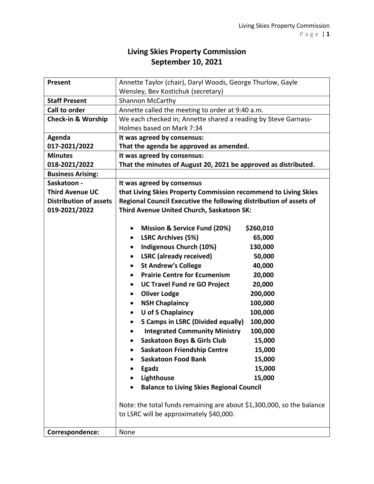## **Living Skies Property Commission September 10, 2021**

| <b>Present</b>                | Annette Taylor (chair), Daryl Woods, George Thurlow, Gayle            |
|-------------------------------|-----------------------------------------------------------------------|
|                               | Wensley, Bev Kostichuk (secretary)                                    |
| <b>Staff Present</b>          | <b>Shannon McCarthy</b>                                               |
| <b>Call to order</b>          | Annette called the meeting to order at 9:40 a.m.                      |
| <b>Check-in &amp; Worship</b> | We each checked in; Annette shared a reading by Steve Garnass-        |
|                               | Holmes based on Mark 7:34                                             |
| Agenda                        | It was agreed by consensus:                                           |
| 017-2021/2022                 | That the agenda be approved as amended.                               |
| <b>Minutes</b>                | It was agreed by consensus:                                           |
| 018-2021/2022                 | That the minutes of August 20, 2021 be approved as distributed.       |
| <b>Business Arising:</b>      |                                                                       |
| Saskatoon -                   | It was agreed by consensus                                            |
| <b>Third Avenue UC</b>        | that Living Skies Property Commission recommend to Living Skies       |
| <b>Distribution of assets</b> | Regional Council Executive the following distribution of assets of    |
| 019-2021/2022                 | Third Avenue United Church, Saskatoon SK:                             |
|                               |                                                                       |
|                               | <b>Mission &amp; Service Fund (20%)</b><br>\$260,010                  |
|                               | <b>LSRC Archives (5%)</b><br>65,000<br>٠                              |
|                               | Indigenous Church (10%)<br>130,000                                    |
|                               | <b>LSRC</b> (already received)<br>50,000                              |
|                               | <b>St Andrew's College</b><br>40,000                                  |
|                               | <b>Prairie Centre for Ecumenism</b><br>20,000<br>$\bullet$            |
|                               | <b>UC Travel Fund re GO Project</b><br>20,000<br>$\bullet$            |
|                               | <b>Oliver Lodge</b><br>200,000<br>$\bullet$                           |
|                               | <b>NSH Chaplaincy</b><br>100,000<br>٠                                 |
|                               | <b>U</b> of S Chaplaincy<br>100,000<br>$\bullet$                      |
|                               | 5 Camps in LSRC (Divided equally)<br>100,000<br>٠                     |
|                               | <b>Integrated Community Ministry</b><br>100,000                       |
|                               | <b>Saskatoon Boys &amp; Girls Club</b><br>15,000                      |
|                               | <b>Saskatoon Friendship Centre</b><br>15,000                          |
|                               | <b>Saskatoon Food Bank</b><br>15,000                                  |
|                               | 15,000<br><b>Egadz</b>                                                |
|                               | Lighthouse<br>15,000                                                  |
|                               | <b>Balance to Living Skies Regional Council</b>                       |
|                               |                                                                       |
|                               | Note: the total funds remaining are about \$1,300,000, so the balance |
|                               | to LSRC will be approximately \$40,000.                               |
|                               |                                                                       |
| Correspondence:               | None                                                                  |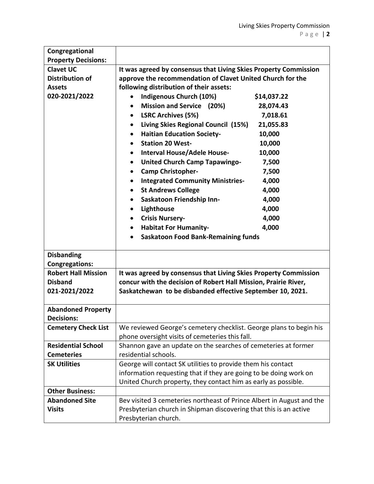| Congregational             |                                                                       |
|----------------------------|-----------------------------------------------------------------------|
| <b>Property Decisions:</b> |                                                                       |
| <b>Clavet UC</b>           | It was agreed by consensus that Living Skies Property Commission      |
| <b>Distribution of</b>     | approve the recommendation of Clavet United Church for the            |
| <b>Assets</b>              | following distribution of their assets:                               |
| 020-2021/2022              | Indigenous Church (10%)<br>\$14,037.22<br>$\bullet$                   |
|                            | Mission and Service (20%)<br>28,074.43<br>$\bullet$                   |
|                            | <b>LSRC Archives (5%)</b><br>7,018.61<br>$\bullet$                    |
|                            | Living Skies Regional Council (15%)<br>21,055.83<br>$\bullet$         |
|                            | 10,000<br><b>Haitian Education Society-</b><br>$\bullet$              |
|                            | <b>Station 20 West-</b><br>10,000<br>$\bullet$                        |
|                            | <b>Interval House/Adele House-</b><br>10,000<br>$\bullet$             |
|                            | <b>United Church Camp Tapawingo-</b><br>7,500<br>$\bullet$            |
|                            | <b>Camp Christopher-</b><br>7,500<br>٠                                |
|                            | <b>Integrated Community Ministries-</b><br>4,000<br>٠                 |
|                            | <b>St Andrews College</b><br>4,000<br>٠                               |
|                            | Saskatoon Friendship Inn-<br>4,000<br>٠                               |
|                            | Lighthouse<br>4,000<br>٠                                              |
|                            | <b>Crisis Nursery-</b><br>4,000<br>$\bullet$                          |
|                            | 4,000<br><b>Habitat For Humanity-</b><br>٠                            |
|                            | <b>Saskatoon Food Bank-Remaining funds</b><br>$\bullet$               |
|                            |                                                                       |
| <b>Disbanding</b>          |                                                                       |
| <b>Congregations:</b>      |                                                                       |
| <b>Robert Hall Mission</b> | It was agreed by consensus that Living Skies Property Commission      |
| <b>Disband</b>             | concur with the decision of Robert Hall Mission, Prairie River,       |
| 021-2021/2022              | Saskatchewan to be disbanded effective September 10, 2021.            |
|                            |                                                                       |
| <b>Abandoned Property</b>  |                                                                       |
| <b>Decisions:</b>          |                                                                       |
| <b>Cemetery Check List</b> | We reviewed George's cemetery checklist. George plans to begin his    |
|                            | phone oversight visits of cemeteries this fall.                       |
| <b>Residential School</b>  | Shannon gave an update on the searches of cemeteries at former        |
| <b>Cemeteries</b>          | residential schools.                                                  |
| <b>SK Utilities</b>        | George will contact SK utilities to provide them his contact          |
|                            | information requesting that if they are going to be doing work on     |
|                            | United Church property, they contact him as early as possible.        |
| <b>Other Business:</b>     |                                                                       |
| <b>Abandoned Site</b>      | Bev visited 3 cemeteries northeast of Prince Albert in August and the |
| <b>Visits</b>              | Presbyterian church in Shipman discovering that this is an active     |
|                            | Presbyterian church.                                                  |